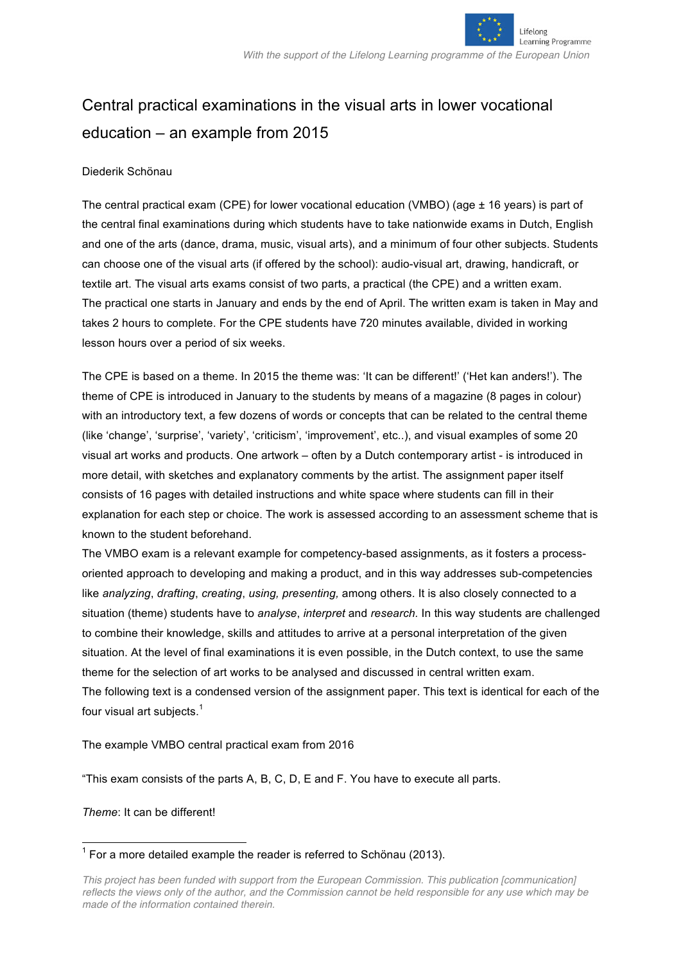

# Central practical examinations in the visual arts in lower vocational education – an example from 2015

#### Diederik Schönau

The central practical exam (CPE) for lower vocational education (VMBO) (age ± 16 years) is part of the central final examinations during which students have to take nationwide exams in Dutch, English and one of the arts (dance, drama, music, visual arts), and a minimum of four other subjects. Students can choose one of the visual arts (if offered by the school): audio-visual art, drawing, handicraft, or textile art. The visual arts exams consist of two parts, a practical (the CPE) and a written exam. The practical one starts in January and ends by the end of April. The written exam is taken in May and takes 2 hours to complete. For the CPE students have 720 minutes available, divided in working lesson hours over a period of six weeks.

The CPE is based on a theme. In 2015 the theme was: 'It can be different!' ('Het kan anders!'). The theme of CPE is introduced in January to the students by means of a magazine (8 pages in colour) with an introductory text, a few dozens of words or concepts that can be related to the central theme (like 'change', 'surprise', 'variety', 'criticism', 'improvement', etc..), and visual examples of some 20 visual art works and products. One artwork – often by a Dutch contemporary artist - is introduced in more detail, with sketches and explanatory comments by the artist. The assignment paper itself consists of 16 pages with detailed instructions and white space where students can fill in their explanation for each step or choice. The work is assessed according to an assessment scheme that is known to the student beforehand.

The VMBO exam is a relevant example for competency-based assignments, as it fosters a processoriented approach to developing and making a product, and in this way addresses sub-competencies like *analyzing*, *drafting*, *creating*, *using, presenting,* among others. It is also closely connected to a situation (theme) students have to *analyse*, *interpret* and *research.* In this way students are challenged to combine their knowledge, skills and attitudes to arrive at a personal interpretation of the given situation. At the level of final examinations it is even possible, in the Dutch context, to use the same theme for the selection of art works to be analysed and discussed in central written exam. The following text is a condensed version of the assignment paper. This text is identical for each of the four visual art subjects.<sup>1</sup>

The example VMBO central practical exam from 2016

"This exam consists of the parts A, B, C, D, E and F. You have to execute all parts.

#### *Theme*: It can be different!

 $1$  For a more detailed example the reader is referred to Schönau (2013).

*This project has been funded with support from the European Commission. This publication [communication] reflects the views only of the author, and the Commission cannot be held responsible for any use which may be made of the information contained therein.*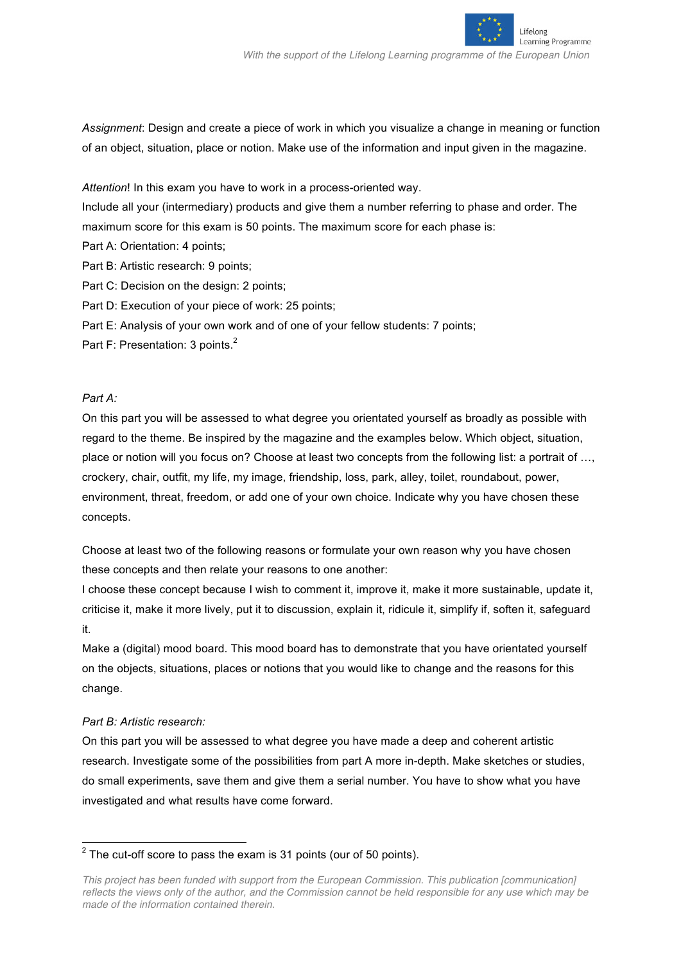

Lifelong

Learning Programme

*Assignment*: Design and create a piece of work in which you visualize a change in meaning or function of an object, situation, place or notion. Make use of the information and input given in the magazine.

*Attention*! In this exam you have to work in a process-oriented way.

Include all your (intermediary) products and give them a number referring to phase and order. The maximum score for this exam is 50 points. The maximum score for each phase is:

- Part A: Orientation: 4 points;
- Part B: Artistic research: 9 points;
- Part C: Decision on the design: 2 points;
- Part D: Execution of your piece of work: 25 points;
- Part E: Analysis of your own work and of one of your fellow students: 7 points;
- Part F: Presentation: 3 points.<sup>2</sup>

### *Part A:*

On this part you will be assessed to what degree you orientated yourself as broadly as possible with regard to the theme. Be inspired by the magazine and the examples below. Which object, situation, place or notion will you focus on? Choose at least two concepts from the following list: a portrait of …, crockery, chair, outfit, my life, my image, friendship, loss, park, alley, toilet, roundabout, power, environment, threat, freedom, or add one of your own choice. Indicate why you have chosen these concepts.

Choose at least two of the following reasons or formulate your own reason why you have chosen these concepts and then relate your reasons to one another:

I choose these concept because I wish to comment it, improve it, make it more sustainable, update it, criticise it, make it more lively, put it to discussion, explain it, ridicule it, simplify if, soften it, safeguard it.

Make a (digital) mood board. This mood board has to demonstrate that you have orientated yourself on the objects, situations, places or notions that you would like to change and the reasons for this change.

#### *Part B: Artistic research:*

On this part you will be assessed to what degree you have made a deep and coherent artistic research. Investigate some of the possibilities from part A more in-depth. Make sketches or studies, do small experiments, save them and give them a serial number. You have to show what you have investigated and what results have come forward.

 $2$  The cut-off score to pass the exam is 31 points (our of 50 points).

*This project has been funded with support from the European Commission. This publication [communication] reflects the views only of the author, and the Commission cannot be held responsible for any use which may be made of the information contained therein.*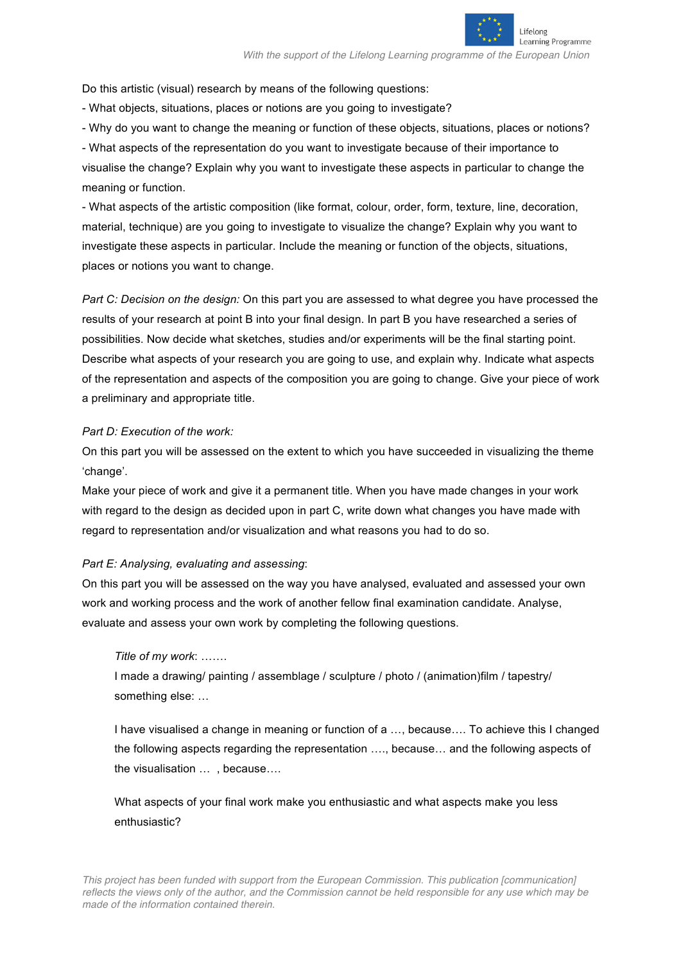

*With the support of the Lifelong Learning programme of the European Union*

Do this artistic (visual) research by means of the following questions:

- What objects, situations, places or notions are you going to investigate?

- Why do you want to change the meaning or function of these objects, situations, places or notions?

- What aspects of the representation do you want to investigate because of their importance to visualise the change? Explain why you want to investigate these aspects in particular to change the meaning or function.

- What aspects of the artistic composition (like format, colour, order, form, texture, line, decoration, material, technique) are you going to investigate to visualize the change? Explain why you want to investigate these aspects in particular. Include the meaning or function of the objects, situations, places or notions you want to change.

*Part C: Decision on the design:* On this part you are assessed to what degree you have processed the results of your research at point B into your final design. In part B you have researched a series of possibilities. Now decide what sketches, studies and/or experiments will be the final starting point. Describe what aspects of your research you are going to use, and explain why. Indicate what aspects of the representation and aspects of the composition you are going to change. Give your piece of work a preliminary and appropriate title.

## *Part D: Execution of the work:*

On this part you will be assessed on the extent to which you have succeeded in visualizing the theme 'change'.

Make your piece of work and give it a permanent title. When you have made changes in your work with regard to the design as decided upon in part C, write down what changes you have made with regard to representation and/or visualization and what reasons you had to do so.

## *Part E: Analysing, evaluating and assessing*:

On this part you will be assessed on the way you have analysed, evaluated and assessed your own work and working process and the work of another fellow final examination candidate. Analyse, evaluate and assess your own work by completing the following questions.

# *Title of my work*: …….

I made a drawing/ painting / assemblage / sculpture / photo / (animation)film / tapestry/ something else: …

I have visualised a change in meaning or function of a …, because…. To achieve this I changed the following aspects regarding the representation …., because… and the following aspects of the visualisation … , because….

What aspects of your final work make you enthusiastic and what aspects make you less enthusiastic?

*This project has been funded with support from the European Commission. This publication [communication] reflects the views only of the author, and the Commission cannot be held responsible for any use which may be made of the information contained therein.*